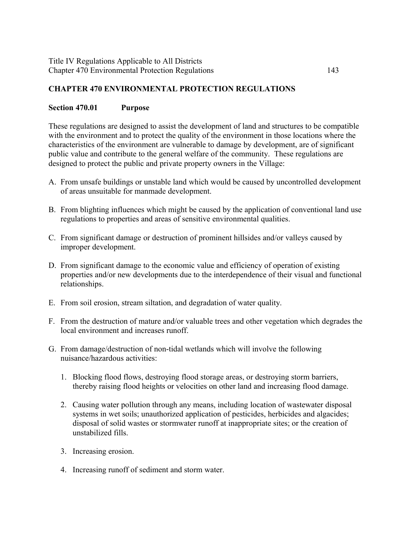## **CHAPTER 470 ENVIRONMENTAL PROTECTION REGULATIONS**

#### **Section 470.01 Purpose**

These regulations are designed to assist the development of land and structures to be compatible with the environment and to protect the quality of the environment in those locations where the characteristics of the environment are vulnerable to damage by development, are of significant public value and contribute to the general welfare of the community. These regulations are designed to protect the public and private property owners in the Village:

- A. From unsafe buildings or unstable land which would be caused by uncontrolled development of areas unsuitable for manmade development.
- B. From blighting influences which might be caused by the application of conventional land use regulations to properties and areas of sensitive environmental qualities.
- C. From significant damage or destruction of prominent hillsides and/or valleys caused by improper development.
- D. From significant damage to the economic value and efficiency of operation of existing properties and/or new developments due to the interdependence of their visual and functional relationships.
- E. From soil erosion, stream siltation, and degradation of water quality.
- F. From the destruction of mature and/or valuable trees and other vegetation which degrades the local environment and increases runoff.
- G. From damage/destruction of non-tidal wetlands which will involve the following nuisance/hazardous activities:
	- 1. Blocking flood flows, destroying flood storage areas, or destroying storm barriers, thereby raising flood heights or velocities on other land and increasing flood damage.
	- 2. Causing water pollution through any means, including location of wastewater disposal systems in wet soils; unauthorized application of pesticides, herbicides and algacides; disposal of solid wastes or stormwater runoff at inappropriate sites; or the creation of unstabilized fills.
	- 3. Increasing erosion.
	- 4. Increasing runoff of sediment and storm water.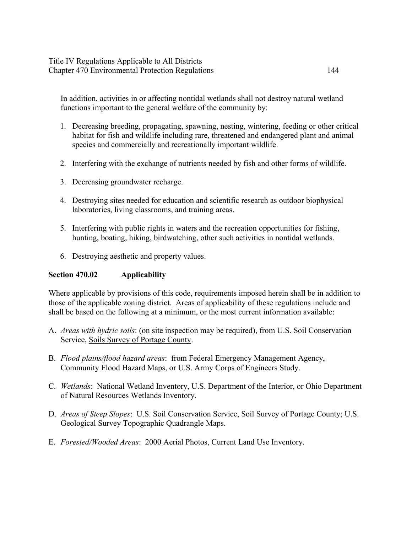### Title IV Regulations Applicable to All Districts Chapter 470 Environmental Protection Regulations 144

In addition, activities in or affecting nontidal wetlands shall not destroy natural wetland functions important to the general welfare of the community by:

- 1. Decreasing breeding, propagating, spawning, nesting, wintering, feeding or other critical habitat for fish and wildlife including rare, threatened and endangered plant and animal species and commercially and recreationally important wildlife.
- 2. Interfering with the exchange of nutrients needed by fish and other forms of wildlife.
- 3. Decreasing groundwater recharge.
- 4. Destroying sites needed for education and scientific research as outdoor biophysical laboratories, living classrooms, and training areas.
- 5. Interfering with public rights in waters and the recreation opportunities for fishing, hunting, boating, hiking, birdwatching, other such activities in nontidal wetlands.
- 6. Destroying aesthetic and property values.

## **Section 470.02 Applicability**

Where applicable by provisions of this code, requirements imposed herein shall be in addition to those of the applicable zoning district. Areas of applicability of these regulations include and shall be based on the following at a minimum, or the most current information available:

- A. *Areas with hydric soils*: (on site inspection may be required), from U.S. Soil Conservation Service, Soils Survey of Portage County.
- B. *Flood plains/flood hazard areas*: from Federal Emergency Management Agency, Community Flood Hazard Maps, or U.S. Army Corps of Engineers Study.
- C. *Wetlands*: National Wetland Inventory, U.S. Department of the Interior, or Ohio Department of Natural Resources Wetlands Inventory.
- D. *Areas of Steep Slopes*: U.S. Soil Conservation Service, Soil Survey of Portage County; U.S. Geological Survey Topographic Quadrangle Maps.
- E. *Forested/Wooded Areas*: 2000 Aerial Photos, Current Land Use Inventory.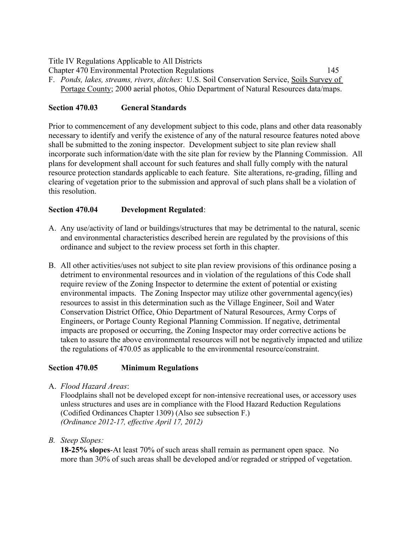Chapter 470 Environmental Protection Regulations 145 F. *Ponds, lakes, streams, rivers, ditches*: U.S. Soil Conservation Service, Soils Survey of Portage County; 2000 aerial photos, Ohio Department of Natural Resources data/maps.

# **Section 470.03 General Standards**

Prior to commencement of any development subject to this code, plans and other data reasonably necessary to identify and verify the existence of any of the natural resource features noted above shall be submitted to the zoning inspector. Development subject to site plan review shall incorporate such information/date with the site plan for review by the Planning Commission. All plans for development shall account for such features and shall fully comply with the natural resource protection standards applicable to each feature. Site alterations, re-grading, filling and clearing of vegetation prior to the submission and approval of such plans shall be a violation of this resolution.

## **Section 470.04 Development Regulated**:

- A. Any use/activity of land or buildings/structures that may be detrimental to the natural, scenic and environmental characteristics described herein are regulated by the provisions of this ordinance and subject to the review process set forth in this chapter.
- B. All other activities/uses not subject to site plan review provisions of this ordinance posing a detriment to environmental resources and in violation of the regulations of this Code shall require review of the Zoning Inspector to determine the extent of potential or existing environmental impacts. The Zoning Inspector may utilize other governmental agency(ies) resources to assist in this determination such as the Village Engineer, Soil and Water Conservation District Office, Ohio Department of Natural Resources, Army Corps of Engineers, or Portage County Regional Planning Commission. If negative, detrimental impacts are proposed or occurring, the Zoning Inspector may order corrective actions be taken to assure the above environmental resources will not be negatively impacted and utilize the regulations of 470.05 as applicable to the environmental resource/constraint.

## **Section 470.05 Minimum Regulations**

A. *Flood Hazard Areas*:

Floodplains shall not be developed except for non-intensive recreational uses, or accessory uses unless structures and uses are in compliance with the Flood Hazard Reduction Regulations (Codified Ordinances Chapter 1309) (Also see subsection F.) *(Ordinance 2012-17, effective April 17, 2012)*

*B. Steep Slopes:* 

**18-25% slopes**-At least 70% of such areas shall remain as permanent open space. No more than 30% of such areas shall be developed and/or regraded or stripped of vegetation.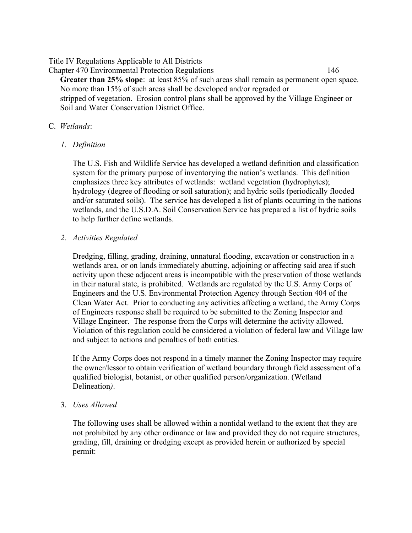Chapter 470 Environmental Protection Regulations 146 **Greater than 25% slope**: at least 85% of such areas shall remain as permanent open space. No more than 15% of such areas shall be developed and/or regraded or stripped of vegetation. Erosion control plans shall be approved by the Village Engineer or Soil and Water Conservation District Office.

## C. *Wetlands*:

*1. Definition*

The U.S. Fish and Wildlife Service has developed a wetland definition and classification system for the primary purpose of inventorying the nation's wetlands. This definition emphasizes three key attributes of wetlands: wetland vegetation (hydrophytes); hydrology (degree of flooding or soil saturation); and hydric soils (periodically flooded and/or saturated soils). The service has developed a list of plants occurring in the nations wetlands, and the U.S.D.A. Soil Conservation Service has prepared a list of hydric soils to help further define wetlands.

*2. Activities Regulated*

Dredging, filling, grading, draining, unnatural flooding, excavation or construction in a wetlands area, or on lands immediately abutting, adjoining or affecting said area if such activity upon these adjacent areas is incompatible with the preservation of those wetlands in their natural state, is prohibited. Wetlands are regulated by the U.S. Army Corps of Engineers and the U.S. Environmental Protection Agency through Section 404 of the Clean Water Act. Prior to conducting any activities affecting a wetland, the Army Corps of Engineers response shall be required to be submitted to the Zoning Inspector and Village Engineer. The response from the Corps will determine the activity allowed. Violation of this regulation could be considered a violation of federal law and Village law and subject to actions and penalties of both entities.

If the Army Corps does not respond in a timely manner the Zoning Inspector may require the owner/lessor to obtain verification of wetland boundary through field assessment of a qualified biologist, botanist, or other qualified person/organization. (Wetland Delineation*)*.

3. *Uses Allowed*

The following uses shall be allowed within a nontidal wetland to the extent that they are not prohibited by any other ordinance or law and provided they do not require structures, grading, fill, draining or dredging except as provided herein or authorized by special permit: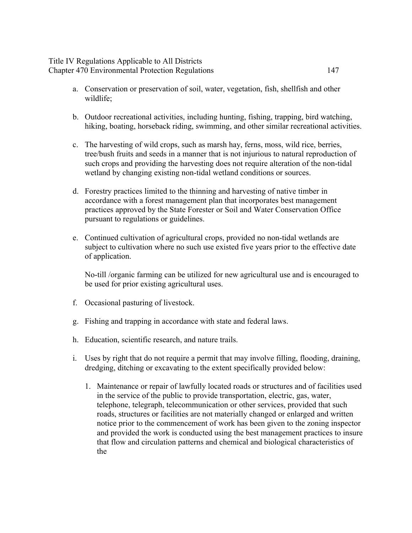#### Title IV Regulations Applicable to All Districts Chapter 470 Environmental Protection Regulations 147

- a. Conservation or preservation of soil, water, vegetation, fish, shellfish and other wildlife;
- b. Outdoor recreational activities, including hunting, fishing, trapping, bird watching, hiking, boating, horseback riding, swimming, and other similar recreational activities.
- c. The harvesting of wild crops, such as marsh hay, ferns, moss, wild rice, berries, tree/bush fruits and seeds in a manner that is not injurious to natural reproduction of such crops and providing the harvesting does not require alteration of the non-tidal wetland by changing existing non-tidal wetland conditions or sources.
- d. Forestry practices limited to the thinning and harvesting of native timber in accordance with a forest management plan that incorporates best management practices approved by the State Forester or Soil and Water Conservation Office pursuant to regulations or guidelines.
- e. Continued cultivation of agricultural crops, provided no non-tidal wetlands are subject to cultivation where no such use existed five years prior to the effective date of application.

No-till /organic farming can be utilized for new agricultural use and is encouraged to be used for prior existing agricultural uses.

- f. Occasional pasturing of livestock.
- g. Fishing and trapping in accordance with state and federal laws.
- h. Education, scientific research, and nature trails.
- i. Uses by right that do not require a permit that may involve filling, flooding, draining, dredging, ditching or excavating to the extent specifically provided below:
	- 1. Maintenance or repair of lawfully located roads or structures and of facilities used in the service of the public to provide transportation, electric, gas, water, telephone, telegraph, telecommunication or other services, provided that such roads, structures or facilities are not materially changed or enlarged and written notice prior to the commencement of work has been given to the zoning inspector and provided the work is conducted using the best management practices to insure that flow and circulation patterns and chemical and biological characteristics of the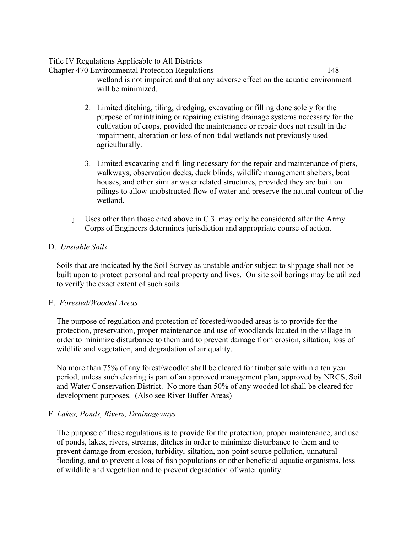Chapter 470 Environmental Protection Regulations 148 wetland is not impaired and that any adverse effect on the aquatic environment will be minimized.

- 2. Limited ditching, tiling, dredging, excavating or filling done solely for the purpose of maintaining or repairing existing drainage systems necessary for the cultivation of crops, provided the maintenance or repair does not result in the impairment, alteration or loss of non-tidal wetlands not previously used agriculturally.
- 3. Limited excavating and filling necessary for the repair and maintenance of piers, walkways, observation decks, duck blinds, wildlife management shelters, boat houses, and other similar water related structures, provided they are built on pilings to allow unobstructed flow of water and preserve the natural contour of the wetland.
- j. Uses other than those cited above in C.3. may only be considered after the Army Corps of Engineers determines jurisdiction and appropriate course of action.

## D. *Unstable Soils*

Soils that are indicated by the Soil Survey as unstable and/or subject to slippage shall not be built upon to protect personal and real property and lives. On site soil borings may be utilized to verify the exact extent of such soils.

## E. *Forested/Wooded Areas*

The purpose of regulation and protection of forested/wooded areas is to provide for the protection, preservation, proper maintenance and use of woodlands located in the village in order to minimize disturbance to them and to prevent damage from erosion, siltation, loss of wildlife and vegetation, and degradation of air quality.

No more than 75% of any forest/woodlot shall be cleared for timber sale within a ten year period, unless such clearing is part of an approved management plan, approved by NRCS, Soil and Water Conservation District. No more than 50% of any wooded lot shall be cleared for development purposes. (Also see River Buffer Areas)

# F. *Lakes, Ponds, Rivers, Drainageways*

The purpose of these regulations is to provide for the protection, proper maintenance, and use of ponds, lakes, rivers, streams, ditches in order to minimize disturbance to them and to prevent damage from erosion, turbidity, siltation, non-point source pollution, unnatural flooding, and to prevent a loss of fish populations or other beneficial aquatic organisms, loss of wildlife and vegetation and to prevent degradation of water quality.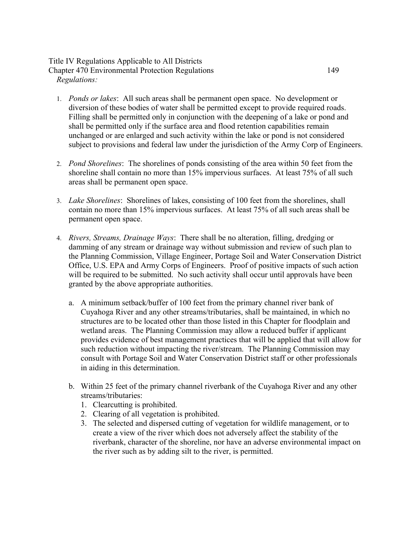## Title IV Regulations Applicable to All Districts Chapter 470 Environmental Protection Regulations 149 *Regulations:*

- 1. *Ponds or lakes*: All such areas shall be permanent open space. No development or diversion of these bodies of water shall be permitted except to provide required roads. Filling shall be permitted only in conjunction with the deepening of a lake or pond and shall be permitted only if the surface area and flood retention capabilities remain unchanged or are enlarged and such activity within the lake or pond is not considered subject to provisions and federal law under the jurisdiction of the Army Corp of Engineers.
- 2. *Pond Shorelines*: The shorelines of ponds consisting of the area within 50 feet from the shoreline shall contain no more than 15% impervious surfaces. At least 75% of all such areas shall be permanent open space.
- 3. *Lake Shorelines*: Shorelines of lakes, consisting of 100 feet from the shorelines, shall contain no more than 15% impervious surfaces. At least 75% of all such areas shall be permanent open space.
- 4. *Rivers, Streams, Drainage Ways*: There shall be no alteration, filling, dredging or damming of any stream or drainage way without submission and review of such plan to the Planning Commission, Village Engineer, Portage Soil and Water Conservation District Office, U.S. EPA and Army Corps of Engineers. Proof of positive impacts of such action will be required to be submitted. No such activity shall occur until approvals have been granted by the above appropriate authorities.
	- a. A minimum setback/buffer of 100 feet from the primary channel river bank of Cuyahoga River and any other streams/tributaries, shall be maintained, in which no structures are to be located other than those listed in this Chapter for floodplain and wetland areas. The Planning Commission may allow a reduced buffer if applicant provides evidence of best management practices that will be applied that will allow for such reduction without impacting the river/stream. The Planning Commission may consult with Portage Soil and Water Conservation District staff or other professionals in aiding in this determination.
	- b. Within 25 feet of the primary channel riverbank of the Cuyahoga River and any other streams/tributaries:
		- 1. Clearcutting is prohibited.
		- 2. Clearing of all vegetation is prohibited.
		- 3. The selected and dispersed cutting of vegetation for wildlife management, or to create a view of the river which does not adversely affect the stability of the riverbank, character of the shoreline, nor have an adverse environmental impact on the river such as by adding silt to the river, is permitted.